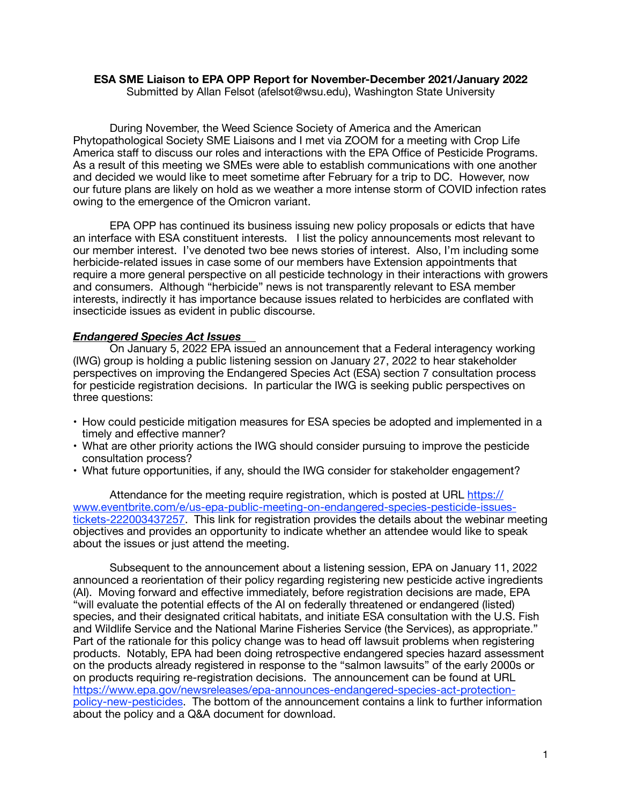# **ESA SME Liaison to EPA OPP Report for November-December 2021/January 2022**

Submitted by Allan Felsot (afelsot@wsu.edu), Washington State University

During November, the Weed Science Society of America and the American Phytopathological Society SME Liaisons and I met via ZOOM for a meeting with Crop Life America staff to discuss our roles and interactions with the EPA Office of Pesticide Programs. As a result of this meeting we SMEs were able to establish communications with one another and decided we would like to meet sometime after February for a trip to DC. However, now our future plans are likely on hold as we weather a more intense storm of COVID infection rates owing to the emergence of the Omicron variant.

EPA OPP has continued its business issuing new policy proposals or edicts that have an interface with ESA constituent interests. I list the policy announcements most relevant to our member interest. I've denoted two bee news stories of interest. Also, I'm including some herbicide-related issues in case some of our members have Extension appointments that require a more general perspective on all pesticide technology in their interactions with growers and consumers. Although "herbicide" news is not transparently relevant to ESA member interests, indirectly it has importance because issues related to herbicides are conflated with insecticide issues as evident in public discourse.

# *Endangered Species Act Issues*

On January 5, 2022 EPA issued an announcement that a Federal interagency working (IWG) group is holding a public listening session on January 27, 2022 to hear stakeholder perspectives on improving the Endangered Species Act (ESA) section 7 consultation process for pesticide registration decisions. In particular the IWG is seeking public perspectives on three questions:

- How could pesticide mitigation measures for ESA species be adopted and implemented in a timely and effective manner?
- What are other priority actions the IWG should consider pursuing to improve the pesticide consultation process?
- What future opportunities, if any, should the IWG consider for stakeholder engagement?

Attendance for the meeting require registration, which is posted at URL [https://](https://www.eventbrite.com/e/us-epa-public-meeting-on-endangered-species-pesticide-issues-tickets-222003437257) [www.eventbrite.com/e/us-epa-public-meeting-on-endangered-species-pesticide-issues](https://www.eventbrite.com/e/us-epa-public-meeting-on-endangered-species-pesticide-issues-tickets-222003437257)[tickets-222003437257](https://www.eventbrite.com/e/us-epa-public-meeting-on-endangered-species-pesticide-issues-tickets-222003437257). This link for registration provides the details about the webinar meeting objectives and provides an opportunity to indicate whether an attendee would like to speak about the issues or just attend the meeting.

Subsequent to the announcement about a listening session, EPA on January 11, 2022 announced a reorientation of their policy regarding registering new pesticide active ingredients (AI). Moving forward and effective immediately, before registration decisions are made, EPA "will evaluate the potential effects of the AI on federally threatened or endangered (listed) species, and their designated critical habitats, and initiate ESA consultation with the U.S. Fish and Wildlife Service and the National Marine Fisheries Service (the Services), as appropriate." Part of the rationale for this policy change was to head off lawsuit problems when registering products. Notably, EPA had been doing retrospective endangered species hazard assessment on the products already registered in response to the "salmon lawsuits" of the early 2000s or on products requiring re-registration decisions. The announcement can be found at URL [https://www.epa.gov/newsreleases/epa-announces-endangered-species-act-protection](https://www.epa.gov/newsreleases/epa-announces-endangered-species-act-protection-policy-new-pesticides)[policy-new-pesticides](https://www.epa.gov/newsreleases/epa-announces-endangered-species-act-protection-policy-new-pesticides). The bottom of the announcement contains a link to further information about the policy and a Q&A document for download.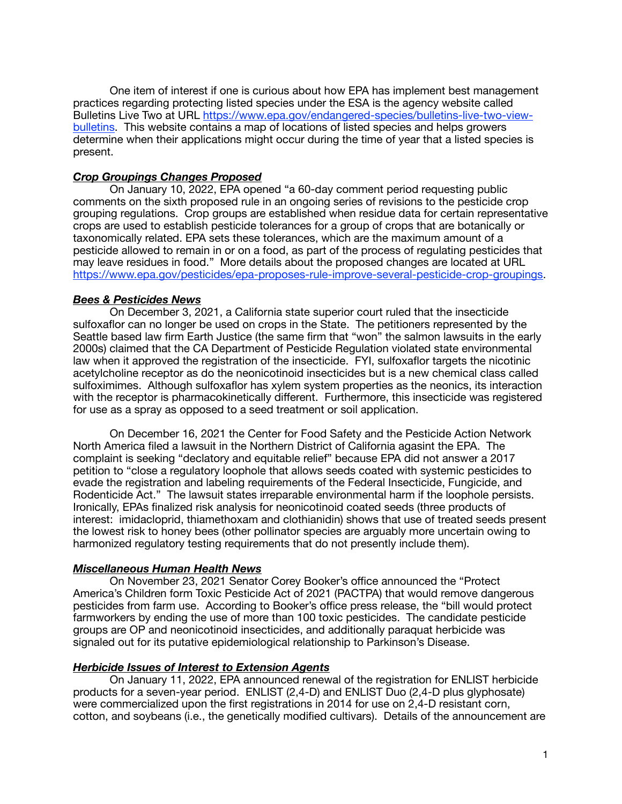One item of interest if one is curious about how EPA has implement best management practices regarding protecting listed species under the ESA is the agency website called Bulletins Live Two at URL [https://www.epa.gov/endangered-species/bulletins-live-two-view](https://www.epa.gov/endangered-species/bulletins-live-two-view-bulletins)[bulletins.](https://www.epa.gov/endangered-species/bulletins-live-two-view-bulletins) This website contains a map of locations of listed species and helps growers determine when their applications might occur during the time of year that a listed species is present.

# *Crop Groupings Changes Proposed*

On January 10, 2022, EPA opened "a 60-day comment period requesting public comments on the sixth proposed rule in an ongoing series of revisions to the pesticide crop grouping regulations. Crop groups are established when residue data for certain representative crops are used to establish pesticide tolerances for a group of crops that are botanically or taxonomically related. EPA sets these tolerances, which are the maximum amount of a pesticide allowed to remain in or on a food, as part of the process of regulating pesticides that may leave residues in food." More details about the proposed changes are located at URL [https://www.epa.gov/pesticides/epa-proposes-rule-improve-several-pesticide-crop-groupings.](https://www.epa.gov/pesticides/epa-proposes-rule-improve-several-pesticide-crop-groupings)

# *Bees & Pesticides News*

On December 3, 2021, a California state superior court ruled that the insecticide sulfoxaflor can no longer be used on crops in the State. The petitioners represented by the Seattle based law firm Earth Justice (the same firm that "won" the salmon lawsuits in the early 2000s) claimed that the CA Department of Pesticide Regulation violated state environmental law when it approved the registration of the insecticide. FYI, sulfoxaflor targets the nicotinic acetylcholine receptor as do the neonicotinoid insecticides but is a new chemical class called sulfoximimes. Although sulfoxaflor has xylem system properties as the neonics, its interaction with the receptor is pharmacokinetically different. Furthermore, this insecticide was registered for use as a spray as opposed to a seed treatment or soil application.

On December 16, 2021 the Center for Food Safety and the Pesticide Action Network North America filed a lawsuit in the Northern District of California agasint the EPA. The complaint is seeking "declatory and equitable relief" because EPA did not answer a 2017 petition to "close a regulatory loophole that allows seeds coated with systemic pesticides to evade the registration and labeling requirements of the Federal Insecticide, Fungicide, and Rodenticide Act." The lawsuit states irreparable environmental harm if the loophole persists. Ironically, EPAs finalized risk analysis for neonicotinoid coated seeds (three products of interest: imidacloprid, thiamethoxam and clothianidin) shows that use of treated seeds present the lowest risk to honey bees (other pollinator species are arguably more uncertain owing to harmonized regulatory testing requirements that do not presently include them).

### *Miscellaneous Human Health News*

On November 23, 2021 Senator Corey Booker's office announced the "Protect America's Children form Toxic Pesticide Act of 2021 (PACTPA) that would remove dangerous pesticides from farm use. According to Booker's office press release, the "bill would protect farmworkers by ending the use of more than 100 toxic pesticides. The candidate pesticide groups are OP and neonicotinoid insecticides, and additionally paraquat herbicide was signaled out for its putative epidemiological relationship to Parkinson's Disease.

### *Herbicide Issues of Interest to Extension Agents*

On January 11, 2022, EPA announced renewal of the registration for ENLIST herbicide products for a seven-year period. ENLIST (2,4-D) and ENLIST Duo (2,4-D plus glyphosate) were commercialized upon the first registrations in 2014 for use on 2,4-D resistant corn, cotton, and soybeans (i.e., the genetically modified cultivars). Details of the announcement are